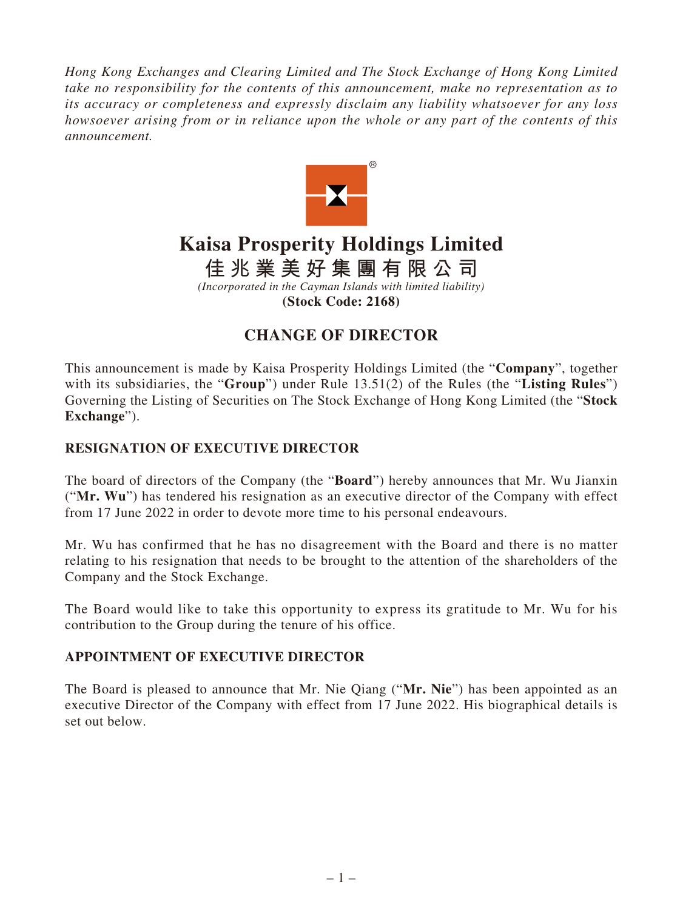*Hong Kong Exchanges and Clearing Limited and The Stock Exchange of Hong Kong Limited take no responsibility for the contents of this announcement, make no representation as to its accuracy or completeness and expressly disclaim any liability whatsoever for any loss howsoever arising from or in reliance upon the whole or any part of the contents of this announcement.*



## **Kaisa Prosperity Holdings Limited**

**佳兆業美好集團有限公司**

*(Incorporated in the Cayman Islands with limited liability)* **(Stock Code: 2168)**

## **CHANGE OF DIRECTOR**

This announcement is made by Kaisa Prosperity Holdings Limited (the "**Company**", together with its subsidiaries, the "**Group**") under Rule 13.51(2) of the Rules (the "**Listing Rules**") Governing the Listing of Securities on The Stock Exchange of Hong Kong Limited (the "**Stock Exchange**").

## **RESIGNATION OF EXECUTIVE DIRECTOR**

The board of directors of the Company (the "**Board**") hereby announces that Mr. Wu Jianxin ("**Mr. Wu**") has tendered his resignation as an executive director of the Company with effect from 17 June 2022 in order to devote more time to his personal endeavours.

Mr. Wu has confirmed that he has no disagreement with the Board and there is no matter relating to his resignation that needs to be brought to the attention of the shareholders of the Company and the Stock Exchange.

The Board would like to take this opportunity to express its gratitude to Mr. Wu for his contribution to the Group during the tenure of his office.

## **APPOINTMENT OF EXECUTIVE DIRECTOR**

The Board is pleased to announce that Mr. Nie Qiang ("**Mr. Nie**") has been appointed as an executive Director of the Company with effect from 17 June 2022. His biographical details is set out below.